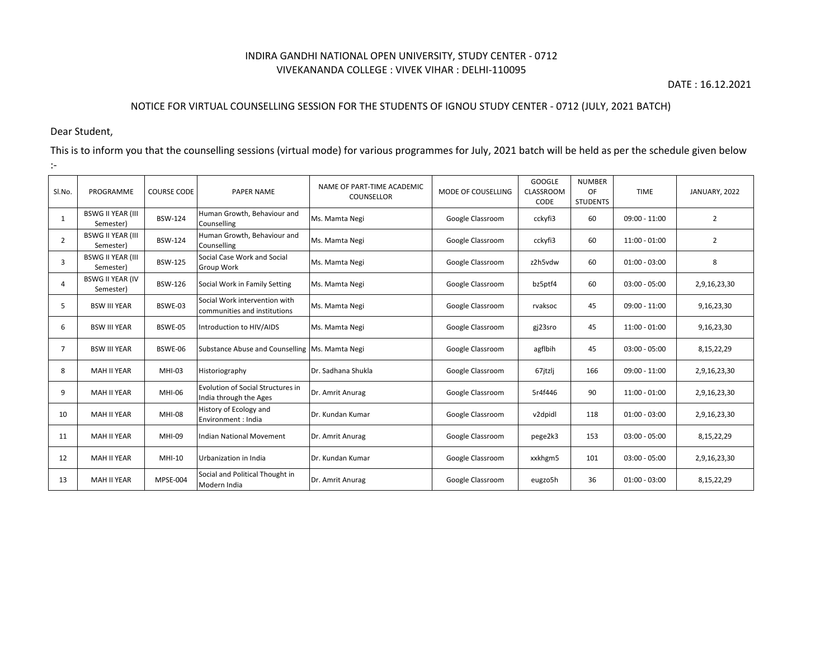## INDIRA GANDHI NATIONAL OPEN UNIVERSITY, STUDY CENTER - 0712 VIVEKANANDA COLLEGE : VIVEK VIHAR : DELHI-110095

DATE : 16.12.2021

## NOTICE FOR VIRTUAL COUNSELLING SESSION FOR THE STUDENTS OF IGNOU STUDY CENTER - 0712 (JULY, 2021 BATCH)

Dear Student,

This is to inform you that the counselling sessions (virtual mode) for various programmes for July, 2021 batch will be held as per the schedule given below :-

| SI.No.         | PROGRAMME                             | <b>COURSE CODE</b> | PAPER NAME                                                         | NAME OF PART-TIME ACADEMIC<br>COUNSELLOR | MODE OF COUSELLING | GOOGLE<br>CLASSROOM<br>CODE | <b>NUMBER</b><br>OF<br><b>STUDENTS</b> | <b>TIME</b>     | JANUARY, 2022 |
|----------------|---------------------------------------|--------------------|--------------------------------------------------------------------|------------------------------------------|--------------------|-----------------------------|----------------------------------------|-----------------|---------------|
| 1              | <b>BSWG II YEAR (III</b><br>Semester) | <b>BSW-124</b>     | Human Growth, Behaviour and<br>Counselling                         | Ms. Mamta Negi                           | Google Classroom   | cckyfi3                     | 60                                     | $09:00 - 11:00$ | 2             |
| 2              | <b>BSWG II YEAR (III</b><br>Semester) | <b>BSW-124</b>     | Human Growth, Behaviour and<br>Counselling                         | Ms. Mamta Negi                           | Google Classroom   | cckyfi3                     | 60                                     | $11:00 - 01:00$ | 2             |
| 3              | <b>BSWG II YEAR (III</b><br>Semester) | <b>BSW-125</b>     | Social Case Work and Social<br>Group Work                          | Ms. Mamta Negi                           | Google Classroom   | z2h5vdw                     | 60                                     | $01:00 - 03:00$ | 8             |
| 4              | <b>BSWG II YEAR (IV</b><br>Semester)  | <b>BSW-126</b>     | Social Work in Family Setting                                      | Ms. Mamta Negi                           | Google Classroom   | bz5ptf4                     | 60                                     | $03:00 - 05:00$ | 2,9,16,23,30  |
| .5             | <b>BSW III YEAR</b>                   | BSWE-03            | Social Work intervention with<br>communities and institutions      | Ms. Mamta Negi                           | Google Classroom   | rvaksoc                     | 45                                     | $09:00 - 11:00$ | 9,16,23,30    |
| 6              | <b>BSW III YEAR</b>                   | BSWE-05            | Introduction to HIV/AIDS                                           | Ms. Mamta Negi                           | Google Classroom   | gj23sro                     | 45                                     | $11:00 - 01:00$ | 9,16,23,30    |
| $\overline{7}$ | <b>BSW III YEAR</b>                   | BSWE-06            | Substance Abuse and Counselling   Ms. Mamta Negi                   |                                          | Google Classroom   | agflbih                     | 45                                     | $03:00 - 05:00$ | 8,15,22,29    |
| 8              | <b>MAH II YEAR</b>                    | MHI-03             | Historiography                                                     | Dr. Sadhana Shukla                       | Google Classroom   | 67jtzlj                     | 166                                    | $09:00 - 11:00$ | 2,9,16,23,30  |
| 9              | <b>MAH II YEAR</b>                    | MHI-06             | <b>Evolution of Social Structures in</b><br>India through the Ages | Dr. Amrit Anurag                         | Google Classroom   | 5r4f446                     | 90                                     | $11:00 - 01:00$ | 2,9,16,23,30  |
| 10             | <b>MAH II YEAR</b>                    | <b>MHI-08</b>      | History of Ecology and<br>Environment : India                      | Dr. Kundan Kumar                         | Google Classroom   | v2dpidl                     | 118                                    | $01:00 - 03:00$ | 2,9,16,23,30  |
| 11             | MAH II YEAR                           | MHI-09             | Indian National Movement                                           | Dr. Amrit Anurag                         | Google Classroom   | pege2k3                     | 153                                    | $03:00 - 05:00$ | 8,15,22,29    |
| 12             | MAH II YEAR                           | MHI-10             | Urbanization in India                                              | Dr. Kundan Kumar                         | Google Classroom   | xxkhgm5                     | 101                                    | $03:00 - 05:00$ | 2,9,16,23,30  |
| 13             | <b>MAH II YEAR</b>                    | <b>MPSE-004</b>    | Social and Political Thought in<br>Modern India                    | Dr. Amrit Anurag                         | Google Classroom   | eugzo5h                     | 36                                     | $01:00 - 03:00$ | 8,15,22,29    |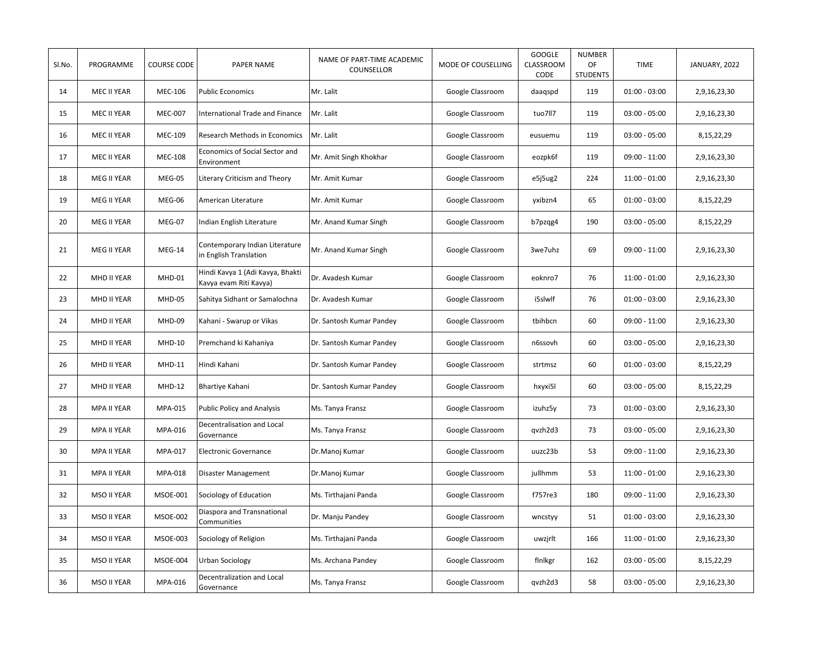| Sl.No. | PROGRAMME   | <b>COURSE CODE</b> | PAPER NAME                                                 | NAME OF PART-TIME ACADEMIC<br>COUNSELLOR | MODE OF COUSELLING | GOOGLE<br>CLASSROOM<br>CODE | NUMBER<br>OF<br><b>STUDENTS</b> | <b>TIME</b>     | JANUARY, 2022 |
|--------|-------------|--------------------|------------------------------------------------------------|------------------------------------------|--------------------|-----------------------------|---------------------------------|-----------------|---------------|
| 14     | MEC II YEAR | <b>MEC-106</b>     | <b>Public Economics</b>                                    | Mr. Lalit                                | Google Classroom   | daaqspd                     | 119                             | $01:00 - 03:00$ | 2,9,16,23,30  |
| 15     | MEC II YEAR | <b>MEC-007</b>     | <b>International Trade and Finance</b>                     | Mr. Lalit                                | Google Classroom   | tuo7ll7                     | 119                             | $03:00 - 05:00$ | 2,9,16,23,30  |
| 16     | MEC II YEAR | <b>MEC-109</b>     | Research Methods in Economics                              | Mr. Lalit                                | Google Classroom   | eusuemu                     | 119                             | $03:00 - 05:00$ | 8,15,22,29    |
| 17     | MEC II YEAR | <b>MEC-108</b>     | Economics of Social Sector and<br>Environment              | Mr. Amit Singh Khokhar                   | Google Classroom   | eozpk6f                     | 119                             | $09:00 - 11:00$ | 2,9,16,23,30  |
| 18     | MEG II YEAR | MEG-05             | Literary Criticism and Theory                              | Mr. Amit Kumar                           | Google Classroom   | e5j5ug2                     | 224                             | $11:00 - 01:00$ | 2,9,16,23,30  |
| 19     | MEG II YEAR | MEG-06             | American Literature                                        | Mr. Amit Kumar                           | Google Classroom   | yxibzn4                     | 65                              | $01:00 - 03:00$ | 8,15,22,29    |
| 20     | MEG II YEAR | MEG-07             | Indian English Literature                                  | Mr. Anand Kumar Singh                    | Google Classroom   | b7pzqg4                     | 190                             | $03:00 - 05:00$ | 8,15,22,29    |
| 21     | MEG II YEAR | MEG-14             | Contemporary Indian Literature<br>in English Translation   | Mr. Anand Kumar Singh                    | Google Classroom   | 3we7uhz                     | 69                              | $09:00 - 11:00$ | 2,9,16,23,30  |
| 22     | MHD II YEAR | MHD-01             | Hindi Kavya 1 (Adi Kavya, Bhakti<br>Kavya evam Riti Kavya) | Dr. Avadesh Kumar                        | Google Classroom   | eoknro7                     | 76                              | $11:00 - 01:00$ | 2,9,16,23,30  |
| 23     | MHD II YEAR | <b>MHD-05</b>      | Sahitya Sidhant or Samalochna                              | Dr. Avadesh Kumar                        | Google Classroom   | i5slwlf                     | 76                              | $01:00 - 03:00$ | 2,9,16,23,30  |
| 24     | MHD II YEAR | MHD-09             | Kahani - Swarup or Vikas                                   | Dr. Santosh Kumar Pandey                 | Google Classroom   | tbihbcn                     | 60                              | $09:00 - 11:00$ | 2,9,16,23,30  |
| 25     | MHD II YEAR | <b>MHD-10</b>      | Premchand ki Kahaniya                                      | Dr. Santosh Kumar Pandey                 | Google Classroom   | n6ssovh                     | 60                              | $03:00 - 05:00$ | 2,9,16,23,30  |
| 26     | MHD II YEAR | $MHD-11$           | Hindi Kahani                                               | Dr. Santosh Kumar Pandey                 | Google Classroom   | strtmsz                     | 60                              | $01:00 - 03:00$ | 8,15,22,29    |
| 27     | MHD II YEAR | <b>MHD-12</b>      | Bhartiye Kahani                                            | Dr. Santosh Kumar Pandey                 | Google Classroom   | hxyxi5l                     | 60                              | $03:00 - 05:00$ | 8,15,22,29    |
| 28     | MPA II YEAR | MPA-015            | <b>Public Policy and Analysis</b>                          | Ms. Tanya Fransz                         | Google Classroom   | izuhz5y                     | 73                              | $01:00 - 03:00$ | 2,9,16,23,30  |
| 29     | MPA II YEAR | MPA-016            | Decentralisation and Local<br>Governance                   | Ms. Tanya Fransz                         | Google Classroom   | qvzh2d3                     | 73                              | $03:00 - 05:00$ | 2,9,16,23,30  |
| 30     | MPA II YEAR | MPA-017            | <b>Electronic Governance</b>                               | Dr.Manoj Kumar                           | Google Classroom   | uuzc23b                     | 53                              | $09:00 - 11:00$ | 2,9,16,23,30  |
| 31     | MPA II YEAR | MPA-018            | Disaster Management                                        | Dr.Manoj Kumar                           | Google Classroom   | jullhmm                     | 53                              | $11:00 - 01:00$ | 2,9,16,23,30  |
| 32     | MSO II YEAR | <b>MSOE-001</b>    | Sociology of Education                                     | Ms. Tirthajani Panda                     | Google Classroom   | f757re3                     | 180                             | $09:00 - 11:00$ | 2,9,16,23,30  |
| 33     | MSO II YEAR | <b>MSOE-002</b>    | Diaspora and Transnational<br>Communities                  | Dr. Manju Pandey                         | Google Classroom   | wncstyy                     | 51                              | $01:00 - 03:00$ | 2,9,16,23,30  |
| 34     | MSO II YEAR | <b>MSOE-003</b>    | Sociology of Religion                                      | Ms. Tirthajani Panda                     | Google Classroom   | uwzjrlt                     | 166                             | $11:00 - 01:00$ | 2,9,16,23,30  |
| 35     | MSO II YEAR | MSOE-004           | Urban Sociology                                            | Ms. Archana Pandey                       | Google Classroom   | finikgr                     | 162                             | $03:00 - 05:00$ | 8,15,22,29    |
| 36     | MSO II YEAR | MPA-016            | Decentralization and Local<br>Governance                   | Ms. Tanya Fransz                         | Google Classroom   | qvzh2d3                     | 58                              | $03:00 - 05:00$ | 2,9,16,23,30  |